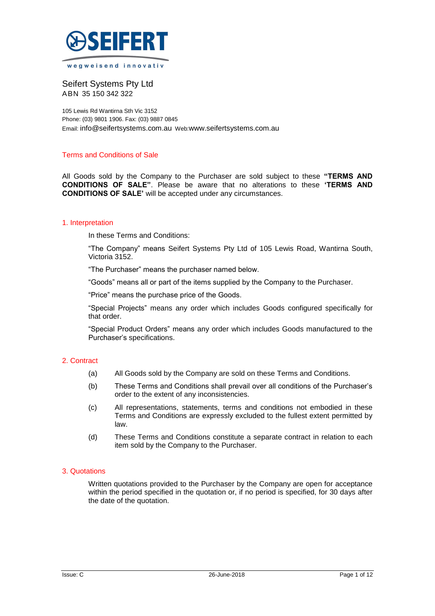

wegweisend innovativ

Seifert Systems Pty Ltd ABN 35 150 342 322

105 Lewis Rd Wantirna Sth Vic 3152 Phone: (03) 9801 1906. Fax: (03) 9887 0845 Email: [info@seifertsystems.com.au](mailto:info@seifertsystems.com.au) Web:[www.seifertsystems.com.au](http://www.seifertsystems.com.au/)

### Terms and Conditions of Sale

All Goods sold by the Company to the Purchaser are sold subject to these **"TERMS AND CONDITIONS OF SALE"**. Please be aware that no alterations to these **'TERMS AND CONDITIONS OF SALE'** will be accepted under any circumstances.

### 1. Interpretation

In these Terms and Conditions:

"The Company" means Seifert Systems Pty Ltd of 105 Lewis Road, Wantirna South, Victoria 3152.

"The Purchaser" means the purchaser named below.

"Goods" means all or part of the items supplied by the Company to the Purchaser.

"Price" means the purchase price of the Goods.

"Special Projects" means any order which includes Goods configured specifically for that order.

"Special Product Orders" means any order which includes Goods manufactured to the Purchaser's specifications.

# 2. Contract

- (a) All Goods sold by the Company are sold on these Terms and Conditions.
- (b) These Terms and Conditions shall prevail over all conditions of the Purchaser's order to the extent of any inconsistencies.
- (c) All representations, statements, terms and conditions not embodied in these Terms and Conditions are expressly excluded to the fullest extent permitted by law.
- (d) These Terms and Conditions constitute a separate contract in relation to each item sold by the Company to the Purchaser.

### 3. Quotations

Written quotations provided to the Purchaser by the Company are open for acceptance within the period specified in the quotation or, if no period is specified, for 30 days after the date of the quotation.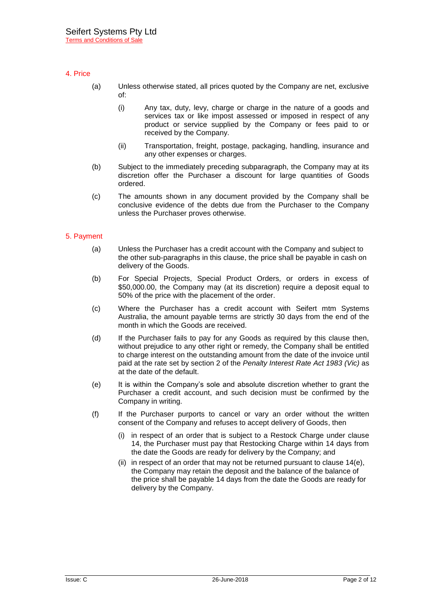# 4. Price

- (a) Unless otherwise stated, all prices quoted by the Company are net, exclusive of:
	- (i) Any tax, duty, levy, charge or charge in the nature of a goods and services tax or like impost assessed or imposed in respect of any product or service supplied by the Company or fees paid to or received by the Company.
	- (ii) Transportation, freight, postage, packaging, handling, insurance and any other expenses or charges.
- (b) Subject to the immediately preceding subparagraph, the Company may at its discretion offer the Purchaser a discount for large quantities of Goods ordered.
- (c) The amounts shown in any document provided by the Company shall be conclusive evidence of the debts due from the Purchaser to the Company unless the Purchaser proves otherwise.

# 5. Payment

- (a) Unless the Purchaser has a credit account with the Company and subject to the other sub-paragraphs in this clause, the price shall be payable in cash on delivery of the Goods.
- (b) For Special Projects, Special Product Orders, or orders in excess of \$50,000.00, the Company may (at its discretion) require a deposit equal to 50% of the price with the placement of the order.
- (c) Where the Purchaser has a credit account with Seifert mtm Systems Australia, the amount payable terms are strictly 30 days from the end of the month in which the Goods are received.
- (d) If the Purchaser fails to pay for any Goods as required by this clause then, without prejudice to any other right or remedy, the Company shall be entitled to charge interest on the outstanding amount from the date of the invoice until paid at the rate set by section 2 of the *Penalty Interest Rate Act 1983 (Vic)* as at the date of the default.
- (e) It is within the Company's sole and absolute discretion whether to grant the Purchaser a credit account, and such decision must be confirmed by the Company in writing.
- (f) If the Purchaser purports to cancel or vary an order without the written consent of the Company and refuses to accept delivery of Goods, then
	- (i) in respect of an order that is subject to a Restock Charge under clause 14, the Purchaser must pay that Restocking Charge within 14 days from the date the Goods are ready for delivery by the Company; and
	- (ii) in respect of an order that may not be returned pursuant to clause 14(e), the Company may retain the deposit and the balance of the balance of the price shall be payable 14 days from the date the Goods are ready for delivery by the Company.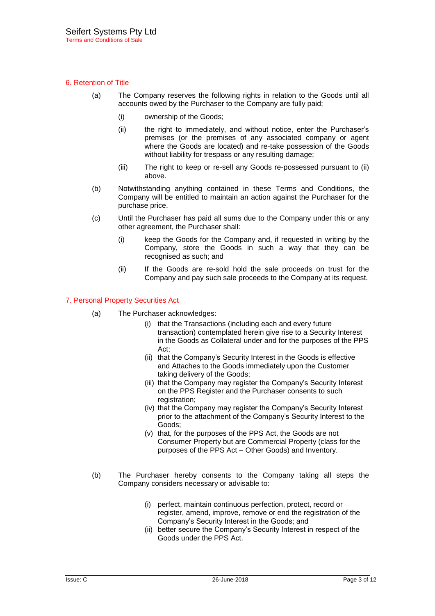# 6. Retention of Title

- (a) The Company reserves the following rights in relation to the Goods until all accounts owed by the Purchaser to the Company are fully paid;
	- (i) ownership of the Goods;
	- (ii) the right to immediately, and without notice, enter the Purchaser's premises (or the premises of any associated company or agent where the Goods are located) and re-take possession of the Goods without liability for trespass or any resulting damage;
	- (iii) The right to keep or re-sell any Goods re-possessed pursuant to (ii) above.
- (b) Notwithstanding anything contained in these Terms and Conditions, the Company will be entitled to maintain an action against the Purchaser for the purchase price.
- (c) Until the Purchaser has paid all sums due to the Company under this or any other agreement, the Purchaser shall:
	- (i) keep the Goods for the Company and, if requested in writing by the Company, store the Goods in such a way that they can be recognised as such; and
	- (ii) If the Goods are re-sold hold the sale proceeds on trust for the Company and pay such sale proceeds to the Company at its request.

### 7. Personal Property Securities Act

- (a) The Purchaser acknowledges:
	- (i) that the Transactions (including each and every future transaction) contemplated herein give rise to a Security Interest in the Goods as Collateral under and for the purposes of the PPS Act;
	- (ii) that the Company's Security Interest in the Goods is effective and Attaches to the Goods immediately upon the Customer taking delivery of the Goods;
	- (iii) that the Company may register the Company's Security Interest on the PPS Register and the Purchaser consents to such registration;
	- (iv) that the Company may register the Company's Security Interest prior to the attachment of the Company's Security Interest to the Goods;
	- (v) that, for the purposes of the PPS Act, the Goods are not Consumer Property but are Commercial Property (class for the purposes of the PPS Act – Other Goods) and Inventory.
- (b) The Purchaser hereby consents to the Company taking all steps the Company considers necessary or advisable to:
	- (i) perfect, maintain continuous perfection, protect, record or register, amend, improve, remove or end the registration of the Company's Security Interest in the Goods; and
	- (ii) better secure the Company's Security Interest in respect of the Goods under the PPS Act.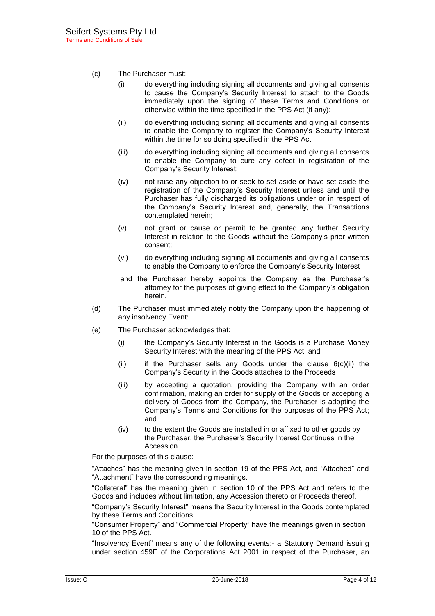- (c) The Purchaser must:
	- (i) do everything including signing all documents and giving all consents to cause the Company's Security Interest to attach to the Goods immediately upon the signing of these Terms and Conditions or otherwise within the time specified in the PPS Act (if any);
	- (ii) do everything including signing all documents and giving all consents to enable the Company to register the Company's Security Interest within the time for so doing specified in the PPS Act
	- (iii) do everything including signing all documents and giving all consents to enable the Company to cure any defect in registration of the Company's Security Interest;
	- (iv) not raise any objection to or seek to set aside or have set aside the registration of the Company's Security Interest unless and until the Purchaser has fully discharged its obligations under or in respect of the Company's Security Interest and, generally, the Transactions contemplated herein;
	- (v) not grant or cause or permit to be granted any further Security Interest in relation to the Goods without the Company's prior written consent;
	- (vi) do everything including signing all documents and giving all consents to enable the Company to enforce the Company's Security Interest
	- and the Purchaser hereby appoints the Company as the Purchaser's attorney for the purposes of giving effect to the Company's obligation herein.
- (d) The Purchaser must immediately notify the Company upon the happening of any insolvency Event:
- (e) The Purchaser acknowledges that:
	- (i) the Company's Security Interest in the Goods is a Purchase Money Security Interest with the meaning of the PPS Act; and
	- (ii) if the Purchaser sells any Goods under the clause 6(c)(ii) the Company's Security in the Goods attaches to the Proceeds
	- (iii) by accepting a quotation, providing the Company with an order confirmation, making an order for supply of the Goods or accepting a delivery of Goods from the Company, the Purchaser is adopting the Company's Terms and Conditions for the purposes of the PPS Act; and
	- (iv) to the extent the Goods are installed in or affixed to other goods by the Purchaser, the Purchaser's Security Interest Continues in the Accession.

For the purposes of this clause:

"Attaches" has the meaning given in section 19 of the PPS Act, and "Attached" and "Attachment" have the corresponding meanings.

"Collateral" has the meaning given in section 10 of the PPS Act and refers to the Goods and includes without limitation, any Accession thereto or Proceeds thereof.

"Company's Security Interest" means the Security Interest in the Goods contemplated by these Terms and Conditions.

"Consumer Property" and "Commercial Property" have the meanings given in section 10 of the PPS Act.

"Insolvency Event" means any of the following events:- a Statutory Demand issuing under section 459E of the Corporations Act 2001 in respect of the Purchaser, an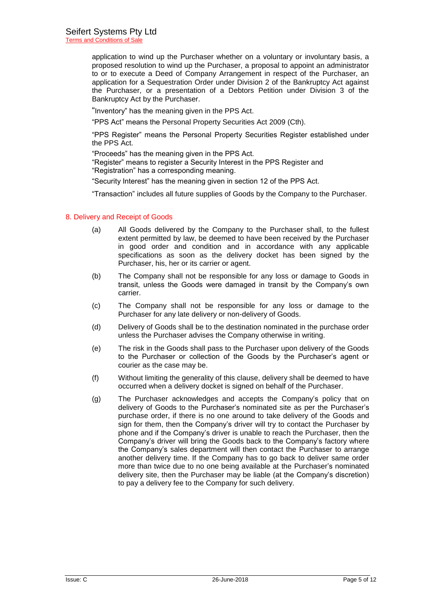application to wind up the Purchaser whether on a voluntary or involuntary basis, a proposed resolution to wind up the Purchaser, a proposal to appoint an administrator to or to execute a Deed of Company Arrangement in respect of the Purchaser, an application for a Sequestration Order under Division 2 of the Bankruptcy Act against the Purchaser, or a presentation of a Debtors Petition under Division 3 of the Bankruptcy Act by the Purchaser.

"Inventory" has the meaning given in the PPS Act.

"PPS Act" means the Personal Property Securities Act 2009 (Cth).

"PPS Register" means the Personal Property Securities Register established under the PPS Act.

"Proceeds" has the meaning given in the PPS Act.

"Register" means to register a Security Interest in the PPS Register and

"Registration" has a corresponding meaning.

"Security Interest" has the meaning given in section 12 of the PPS Act.

"Transaction" includes all future supplies of Goods by the Company to the Purchaser.

### 8. Delivery and Receipt of Goods

- (a) All Goods delivered by the Company to the Purchaser shall, to the fullest extent permitted by law, be deemed to have been received by the Purchaser in good order and condition and in accordance with any applicable specifications as soon as the delivery docket has been signed by the Purchaser, his, her or its carrier or agent.
- (b) The Company shall not be responsible for any loss or damage to Goods in transit, unless the Goods were damaged in transit by the Company's own carrier.
- (c) The Company shall not be responsible for any loss or damage to the Purchaser for any late delivery or non-delivery of Goods.
- (d) Delivery of Goods shall be to the destination nominated in the purchase order unless the Purchaser advises the Company otherwise in writing.
- (e) The risk in the Goods shall pass to the Purchaser upon delivery of the Goods to the Purchaser or collection of the Goods by the Purchaser's agent or courier as the case may be.
- (f) Without limiting the generality of this clause, delivery shall be deemed to have occurred when a delivery docket is signed on behalf of the Purchaser.
- (g) The Purchaser acknowledges and accepts the Company's policy that on delivery of Goods to the Purchaser's nominated site as per the Purchaser's purchase order, if there is no one around to take delivery of the Goods and sign for them, then the Company's driver will try to contact the Purchaser by phone and if the Company's driver is unable to reach the Purchaser, then the Company's driver will bring the Goods back to the Company's factory where the Company's sales department will then contact the Purchaser to arrange another delivery time. If the Company has to go back to deliver same order more than twice due to no one being available at the Purchaser's nominated delivery site, then the Purchaser may be liable (at the Company's discretion) to pay a delivery fee to the Company for such delivery.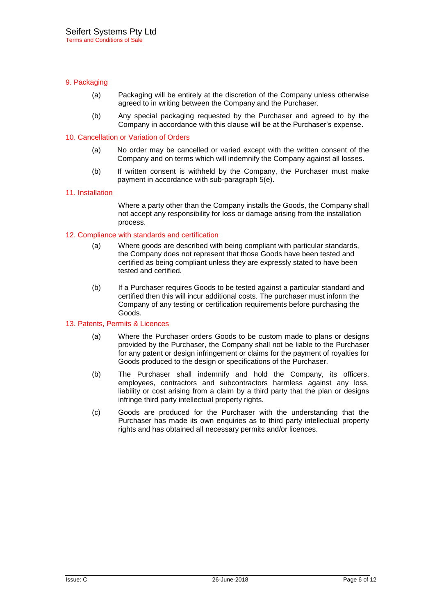## 9. Packaging

- (a) Packaging will be entirely at the discretion of the Company unless otherwise agreed to in writing between the Company and the Purchaser.
- (b) Any special packaging requested by the Purchaser and agreed to by the Company in accordance with this clause will be at the Purchaser's expense.

### 10. Cancellation or Variation of Orders

- (a) No order may be cancelled or varied except with the written consent of the Company and on terms which will indemnify the Company against all losses.
- (b) If written consent is withheld by the Company, the Purchaser must make payment in accordance with sub-paragraph 5(e).

### 11. Installation

Where a party other than the Company installs the Goods, the Company shall not accept any responsibility for loss or damage arising from the installation process.

# 12. Compliance with standards and certification

- (a) Where goods are described with being compliant with particular standards, the Company does not represent that those Goods have been tested and certified as being compliant unless they are expressly stated to have been tested and certified.
- (b) If a Purchaser requires Goods to be tested against a particular standard and certified then this will incur additional costs. The purchaser must inform the Company of any testing or certification requirements before purchasing the Goods.

### 13. Patents, Permits & Licences

- (a) Where the Purchaser orders Goods to be custom made to plans or designs provided by the Purchaser, the Company shall not be liable to the Purchaser for any patent or design infringement or claims for the payment of royalties for Goods produced to the design or specifications of the Purchaser.
- (b) The Purchaser shall indemnify and hold the Company, its officers, employees, contractors and subcontractors harmless against any loss, liability or cost arising from a claim by a third party that the plan or designs infringe third party intellectual property rights.
- (c) Goods are produced for the Purchaser with the understanding that the Purchaser has made its own enquiries as to third party intellectual property rights and has obtained all necessary permits and/or licences.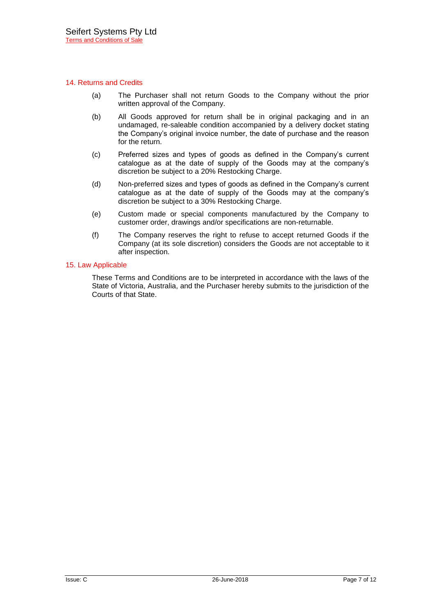### 14. Returns and Credits

- (a) The Purchaser shall not return Goods to the Company without the prior written approval of the Company.
- (b) All Goods approved for return shall be in original packaging and in an undamaged, re-saleable condition accompanied by a delivery docket stating the Company's original invoice number, the date of purchase and the reason for the return.
- (c) Preferred sizes and types of goods as defined in the Company's current catalogue as at the date of supply of the Goods may at the company's discretion be subject to a 20% Restocking Charge.
- (d) Non-preferred sizes and types of goods as defined in the Company's current catalogue as at the date of supply of the Goods may at the company's discretion be subject to a 30% Restocking Charge.
- (e) Custom made or special components manufactured by the Company to customer order, drawings and/or specifications are non-returnable.
- (f) The Company reserves the right to refuse to accept returned Goods if the Company (at its sole discretion) considers the Goods are not acceptable to it after inspection.

### 15. Law Applicable

These Terms and Conditions are to be interpreted in accordance with the laws of the State of Victoria, Australia, and the Purchaser hereby submits to the jurisdiction of the Courts of that State.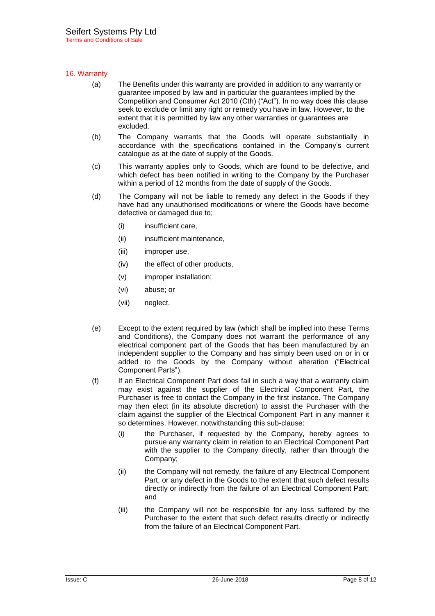## 16. Warranty

- (a) The Benefits under this warranty are provided in addition to any warranty or guarantee imposed by law and in particular the guarantees implied by the Competition and Consumer Act 2010 (Cth) ("Act"). In no way does this clause seek to exclude or limit any right or remedy you have in law. However, to the extent that it is permitted by law any other warranties or guarantees are excluded.
- (b) The Company warrants that the Goods will operate substantially in accordance with the specifications contained in the Company's current catalogue as at the date of supply of the Goods.
- (c) This warranty applies only to Goods, which are found to be defective, and which defect has been notified in writing to the Company by the Purchaser within a period of 12 months from the date of supply of the Goods.
- (d) The Company will not be liable to remedy any defect in the Goods if they have had any unauthorised modifications or where the Goods have become defective or damaged due to;
	- (i) insufficient care,
	- (ii) insufficient maintenance,
	- (iii) improper use,
	- (iv) the effect of other products,
	- (v) improper installation;
	- (vi) abuse; or
	- (vii) neglect.
- (e) Except to the extent required by law (which shall be implied into these Terms and Conditions), the Company does not warrant the performance of any electrical component part of the Goods that has been manufactured by an independent supplier to the Company and has simply been used on or in or added to the Goods by the Company without alteration ("Electrical Component Parts").
- (f) If an Electrical Component Part does fail in such a way that a warranty claim may exist against the supplier of the Electrical Component Part, the Purchaser is free to contact the Company in the first instance. The Company may then elect (in its absolute discretion) to assist the Purchaser with the claim against the supplier of the Electrical Component Part in any manner it so determines. However, notwithstanding this sub-clause:
	- (i) the Purchaser, if requested by the Company, hereby agrees to pursue any warranty claim in relation to an Electrical Component Part with the supplier to the Company directly, rather than through the Company;
	- (ii) the Company will not remedy, the failure of any Electrical Component Part, or any defect in the Goods to the extent that such defect results directly or indirectly from the failure of an Electrical Component Part; and
	- (iii) the Company will not be responsible for any loss suffered by the Purchaser to the extent that such defect results directly or indirectly from the failure of an Electrical Component Part.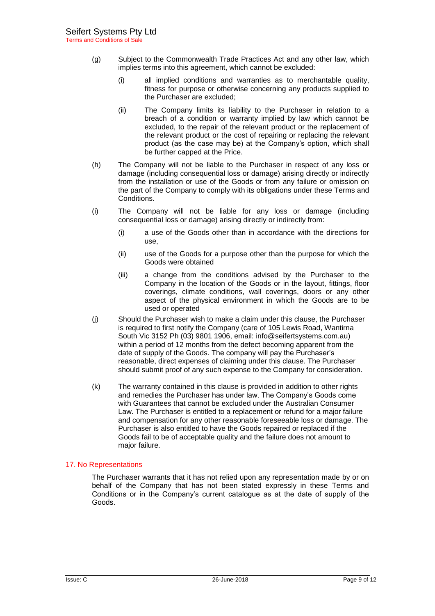- (g) Subject to the Commonwealth Trade Practices Act and any other law, which implies terms into this agreement, which cannot be excluded:
	- (i) all implied conditions and warranties as to merchantable quality, fitness for purpose or otherwise concerning any products supplied to the Purchaser are excluded;
	- (ii) The Company limits its liability to the Purchaser in relation to a breach of a condition or warranty implied by law which cannot be excluded, to the repair of the relevant product or the replacement of the relevant product or the cost of repairing or replacing the relevant product (as the case may be) at the Company's option, which shall be further capped at the Price.
- (h) The Company will not be liable to the Purchaser in respect of any loss or damage (including consequential loss or damage) arising directly or indirectly from the installation or use of the Goods or from any failure or omission on the part of the Company to comply with its obligations under these Terms and Conditions.
- (i) The Company will not be liable for any loss or damage (including consequential loss or damage) arising directly or indirectly from:
	- (i) a use of the Goods other than in accordance with the directions for use,
	- (ii) use of the Goods for a purpose other than the purpose for which the Goods were obtained
	- (iii) a change from the conditions advised by the Purchaser to the Company in the location of the Goods or in the layout, fittings, floor coverings, climate conditions, wall coverings, doors or any other aspect of the physical environment in which the Goods are to be used or operated
- (j) Should the Purchaser wish to make a claim under this clause, the Purchaser is required to first notify the Company (care of 105 Lewis Road, Wantirna South Vic 3152 Ph (03) 9801 1906, email: [info@seifertsystems.com.au\)](mailto:info@seifertsystems.com.au) within a period of 12 months from the defect becoming apparent from the date of supply of the Goods. The company will pay the Purchaser's reasonable, direct expenses of claiming under this clause. The Purchaser should submit proof of any such expense to the Company for consideration.
- (k) The warranty contained in this clause is provided in addition to other rights and remedies the Purchaser has under law. The Company's Goods come with Guarantees that cannot be excluded under the Australian Consumer Law. The Purchaser is entitled to a replacement or refund for a major failure and compensation for any other reasonable foreseeable loss or damage. The Purchaser is also entitled to have the Goods repaired or replaced if the Goods fail to be of acceptable quality and the failure does not amount to major failure.

# 17. No Representations

The Purchaser warrants that it has not relied upon any representation made by or on behalf of the Company that has not been stated expressly in these Terms and Conditions or in the Company's current catalogue as at the date of supply of the Goods.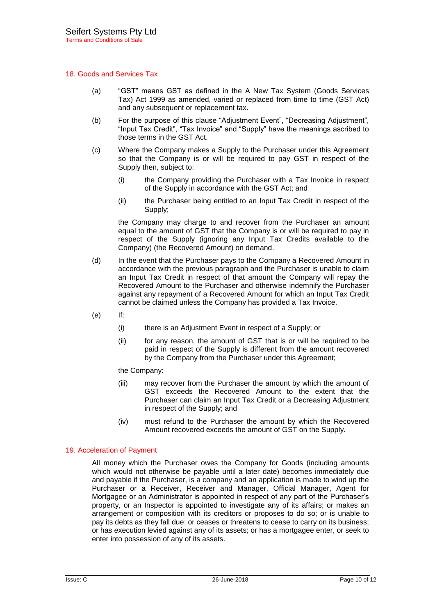### 18. Goods and Services Tax

- (a) "GST" means GST as defined in the A New Tax System (Goods Services Tax) Act 1999 as amended, varied or replaced from time to time (GST Act) and any subsequent or replacement tax.
- (b) For the purpose of this clause "Adjustment Event", "Decreasing Adjustment", "Input Tax Credit", "Tax Invoice" and "Supply" have the meanings ascribed to those terms in the GST Act.
- (c) Where the Company makes a Supply to the Purchaser under this Agreement so that the Company is or will be required to pay GST in respect of the Supply then, subject to:
	- (i) the Company providing the Purchaser with a Tax Invoice in respect of the Supply in accordance with the GST Act; and
	- (ii) the Purchaser being entitled to an Input Tax Credit in respect of the Supply;

the Company may charge to and recover from the Purchaser an amount equal to the amount of GST that the Company is or will be required to pay in respect of the Supply (ignoring any Input Tax Credits available to the Company) (the Recovered Amount) on demand.

- (d) In the event that the Purchaser pays to the Company a Recovered Amount in accordance with the previous paragraph and the Purchaser is unable to claim an Input Tax Credit in respect of that amount the Company will repay the Recovered Amount to the Purchaser and otherwise indemnify the Purchaser against any repayment of a Recovered Amount for which an Input Tax Credit cannot be claimed unless the Company has provided a Tax Invoice.
- (e) If:
	- (i) there is an Adjustment Event in respect of a Supply; or
	- (ii) for any reason, the amount of GST that is or will be required to be paid in respect of the Supply is different from the amount recovered by the Company from the Purchaser under this Agreement;

the Company:

- (iii) may recover from the Purchaser the amount by which the amount of GST exceeds the Recovered Amount to the extent that the Purchaser can claim an Input Tax Credit or a Decreasing Adjustment in respect of the Supply; and
- (iv) must refund to the Purchaser the amount by which the Recovered Amount recovered exceeds the amount of GST on the Supply.

### 19. Acceleration of Payment

All money which the Purchaser owes the Company for Goods (including amounts which would not otherwise be payable until a later date) becomes immediately due and payable if the Purchaser, is a company and an application is made to wind up the Purchaser or a Receiver, Receiver and Manager, Official Manager, Agent for Mortgagee or an Administrator is appointed in respect of any part of the Purchaser's property, or an Inspector is appointed to investigate any of its affairs; or makes an arrangement or composition with its creditors or proposes to do so; or is unable to pay its debts as they fall due; or ceases or threatens to cease to carry on its business; or has execution levied against any of its assets; or has a mortgagee enter, or seek to enter into possession of any of its assets.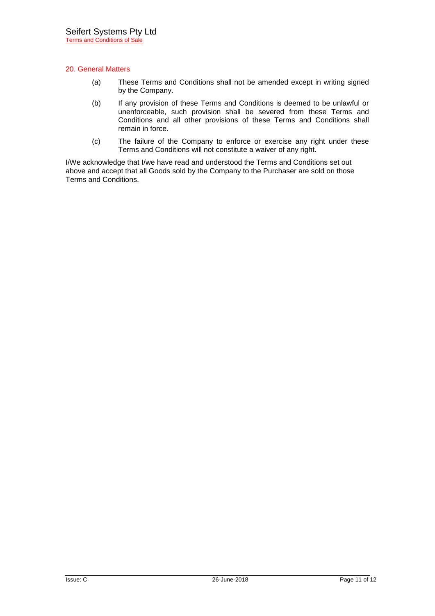# 20. General Matters

- (a) These Terms and Conditions shall not be amended except in writing signed by the Company.
- (b) If any provision of these Terms and Conditions is deemed to be unlawful or unenforceable, such provision shall be severed from these Terms and Conditions and all other provisions of these Terms and Conditions shall remain in force.
- (c) The failure of the Company to enforce or exercise any right under these Terms and Conditions will not constitute a waiver of any right.

I/We acknowledge that I/we have read and understood the Terms and Conditions set out above and accept that all Goods sold by the Company to the Purchaser are sold on those Terms and Conditions.